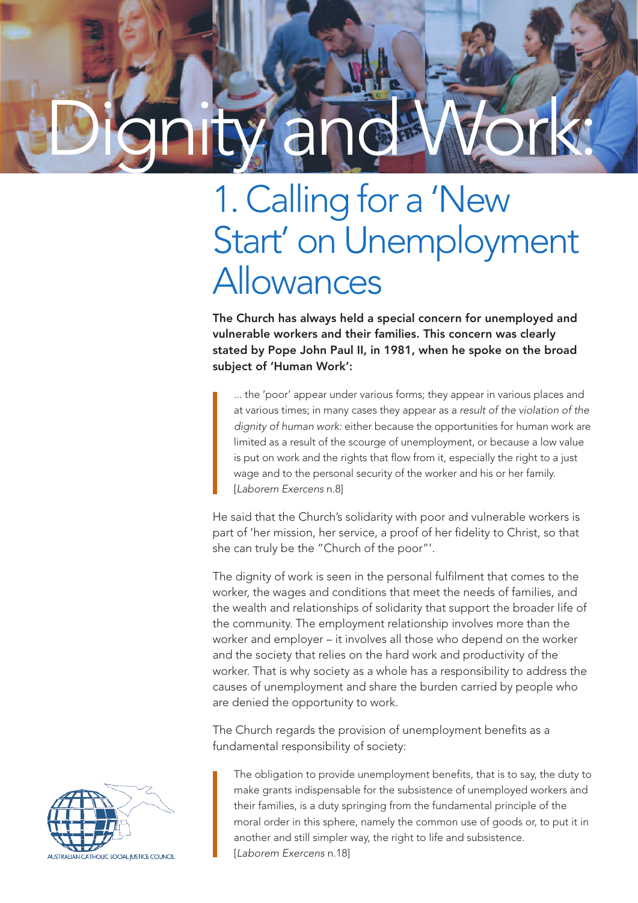## Dignity and Work:

## 1. Calling for a 'New Start' on Unemployment Allowances

The Church has always held a special concern for unemployed and vulnerable workers and their families. This concern was clearly stated by Pope John Paul II, in 1981, when he spoke on the broad subject of 'Human Work':

... the 'poor' appear under various forms; they appear in various places and at various times; in many cases they appear as a *result of the violation of the dignity of human work:* either because the opportunities for human work are limited as a result of the scourge of unemployment, or because a low value is put on work and the rights that flow from it, especially the right to a just wage and to the personal security of the worker and his or her family. [*Laborem Exercens* n.8]

He said that the Church's solidarity with poor and vulnerable workers is part of 'her mission, her service, a proof of her fidelity to Christ, so that she can truly be the "Church of the poor"'.

The dignity of work is seen in the personal fulfilment that comes to the worker, the wages and conditions that meet the needs of families, and the wealth and relationships of solidarity that support the broader life of the community. The employment relationship involves more than the worker and employer – it involves all those who depend on the worker and the society that relies on the hard work and productivity of the worker. That is why society as a whole has a responsibility to address the causes of unemployment and share the burden carried by people who are denied the opportunity to work.

The Church regards the provision of unemployment benefits as a fundamental responsibility of society:

The obligation to provide unemployment benefits, that is to say, the duty to make grants indispensable for the subsistence of unemployed workers and their families, is a duty springing from the fundamental principle of the moral order in this sphere, namely the common use of goods or, to put it in another and still simpler way, the right to life and subsistence. [*Laborem Exercens* n.18]